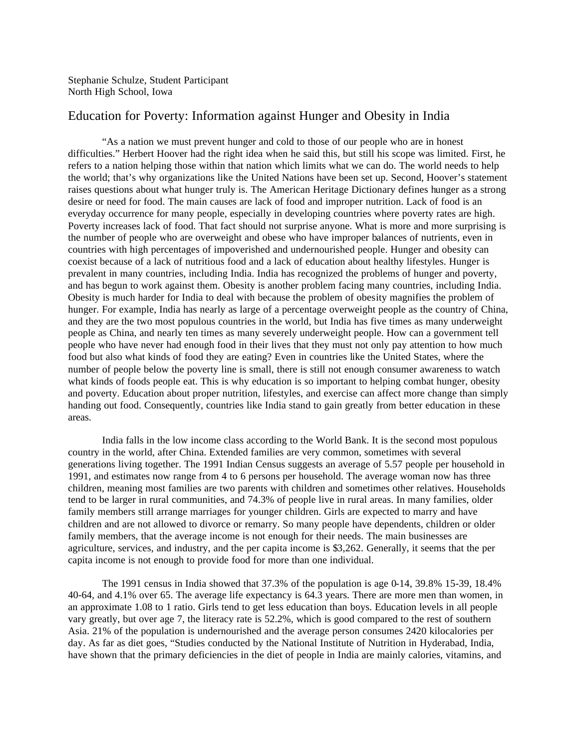Stephanie Schulze, Student Participant North High School, Iowa

## Education for Poverty: Information against Hunger and Obesity in India

"As a nation we must prevent hunger and cold to those of our people who are in honest difficulties." Herbert Hoover had the right idea when he said this, but still his scope was limited. First, he refers to a nation helping those within that nation which limits what we can do. The world needs to help the world; that's why organizations like the United Nations have been set up. Second, Hoover's statement raises questions about what hunger truly is. The American Heritage Dictionary defines hunger as a strong desire or need for food. The main causes are lack of food and improper nutrition. Lack of food is an everyday occurrence for many people, especially in developing countries where poverty rates are high. Poverty increases lack of food. That fact should not surprise anyone. What is more and more surprising is the number of people who are overweight and obese who have improper balances of nutrients, even in countries with high percentages of impoverished and undernourished people. Hunger and obesity can coexist because of a lack of nutritious food and a lack of education about healthy lifestyles. Hunger is prevalent in many countries, including India. India has recognized the problems of hunger and poverty, and has begun to work against them. Obesity is another problem facing many countries, including India. Obesity is much harder for India to deal with because the problem of obesity magnifies the problem of hunger. For example, India has nearly as large of a percentage overweight people as the country of China, and they are the two most populous countries in the world, but India has five times as many underweight people as China, and nearly ten times as many severely underweight people. How can a government tell people who have never had enough food in their lives that they must not only pay attention to how much food but also what kinds of food they are eating? Even in countries like the United States, where the number of people below the poverty line is small, there is still not enough consumer awareness to watch what kinds of foods people eat. This is why education is so important to helping combat hunger, obesity and poverty. Education about proper nutrition, lifestyles, and exercise can affect more change than simply handing out food. Consequently, countries like India stand to gain greatly from better education in these areas.

India falls in the low income class according to the World Bank. It is the second most populous country in the world, after China. Extended families are very common, sometimes with several generations living together. The 1991 Indian Census suggests an average of 5.57 people per household in 1991, and estimates now range from 4 to 6 persons per household. The average woman now has three children, meaning most families are two parents with children and sometimes other relatives. Households tend to be larger in rural communities, and 74.3% of people live in rural areas. In many families, older family members still arrange marriages for younger children. Girls are expected to marry and have children and are not allowed to divorce or remarry. So many people have dependents, children or older family members, that the average income is not enough for their needs. The main businesses are agriculture, services, and industry, and the per capita income is \$3,262. Generally, it seems that the per capita income is not enough to provide food for more than one individual.

The 1991 census in India showed that  $37.3\%$  of the population is age 0-14,  $39.8\%$  15-39, 18.4% 40-64, and 4.1% over 65. The average life expectancy is 64.3 years. There are more men than women, in an approximate 1.08 to 1 ratio. Girls tend to get less education than boys. Education levels in all people vary greatly, but over age 7, the literacy rate is 52.2%, which is good compared to the rest of southern Asia. 21% of the population is undernourished and the average person consumes 2420 kilocalories per day. As far as diet goes, "Studies conducted by the National Institute of Nutrition in Hyderabad, India, have shown that the primary deficiencies in the diet of people in India are mainly calories, vitamins, and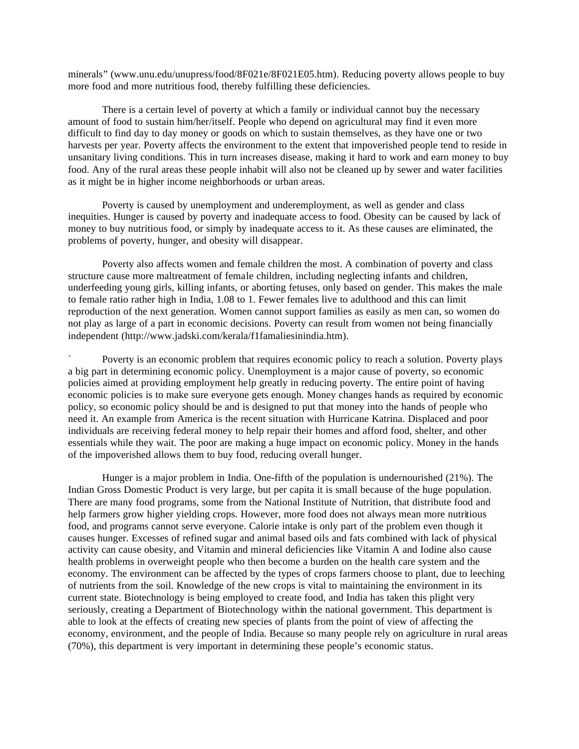minerals" (www.unu.edu/unupress/food/8F021e/8F021E05.htm). Reducing poverty allows people to buy more food and more nutritious food, thereby fulfilling these deficiencies.

There is a certain level of poverty at which a family or individual cannot buy the necessary amount of food to sustain him/her/itself. People who depend on agricultural may find it even more difficult to find day to day money or goods on which to sustain themselves, as they have one or two harvests per year. Poverty affects the environment to the extent that impoverished people tend to reside in unsanitary living conditions. This in turn increases disease, making it hard to work and earn money to buy food. Any of the rural areas these people inhabit will also not be cleaned up by sewer and water facilities as it might be in higher income neighborhoods or urban areas.

Poverty is caused by unemployment and underemployment, as well as gender and class inequities. Hunger is caused by poverty and inadequate access to food. Obesity can be caused by lack of money to buy nutritious food, or simply by inadequate access to it. As these causes are eliminated, the problems of poverty, hunger, and obesity will disappear.

Poverty also affects women and female children the most. A combination of poverty and class structure cause more maltreatment of female children, including neglecting infants and children, underfeeding young girls, killing infants, or aborting fetuses, only based on gender. This makes the male to female ratio rather high in India, 1.08 to 1. Fewer females live to adulthood and this can limit reproduction of the next generation. Women cannot support families as easily as men can, so women do not play as large of a part in economic decisions. Poverty can result from women not being financially independent (http://www.jadski.com/kerala/f1famaliesinindia.htm).

Poverty is an economic problem that requires economic policy to reach a solution. Poverty plays a big part in determining economic policy. Unemployment is a major cause of poverty, so economic policies aimed at providing employment help greatly in reducing poverty. The entire point of having economic policies is to make sure everyone gets enough. Money changes hands as required by economic policy, so economic policy should be and is designed to put that money into the hands of people who need it. An example from America is the recent situation with Hurricane Katrina. Displaced and poor individuals are receiving federal money to help repair their homes and afford food, shelter, and other essentials while they wait. The poor are making a huge impact on economic policy. Money in the hands of the impoverished allows them to buy food, reducing overall hunger.

Hunger is a major problem in India. One-fifth of the population is undernourished (21%). The Indian Gross Domestic Product is very large, but per capita it is small because of the huge population. There are many food programs, some from the National Institute of Nutrition, that distribute food and help farmers grow higher yielding crops. However, more food does not always mean more nutritious food, and programs cannot serve everyone. Calorie intake is only part of the problem even though it causes hunger. Excesses of refined sugar and animal based oils and fats combined with lack of physical activity can cause obesity, and Vitamin and mineral deficiencies like Vitamin A and Iodine also cause health problems in overweight people who then become a burden on the health care system and the economy. The environment can be affected by the types of crops farmers choose to plant, due to leeching of nutrients from the soil. Knowledge of the new crops is vital to maintaining the environment in its current state. Biotechnology is being employed to create food, and India has taken this plight very seriously, creating a Department of Biotechnology within the national government. This department is able to look at the effects of creating new species of plants from the point of view of affecting the economy, environment, and the people of India. Because so many people rely on agriculture in rural areas (70%), this department is very important in determining these people's economic status.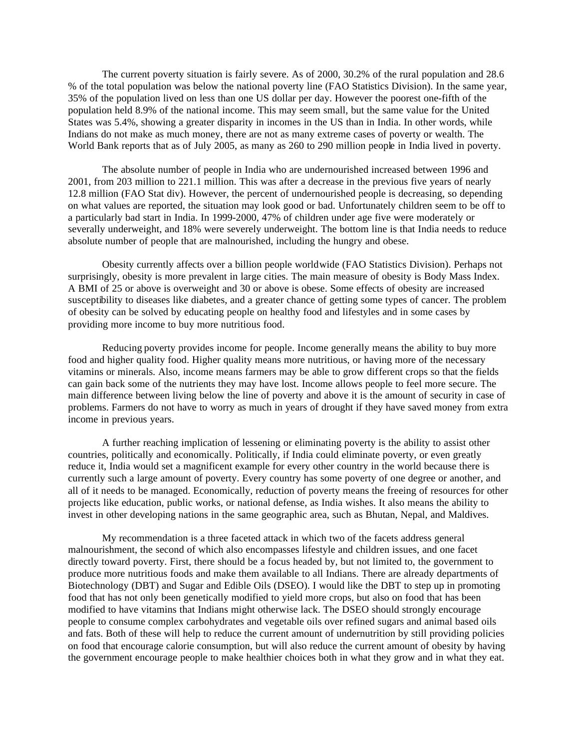The current poverty situation is fairly severe. As of 2000, 30.2% of the rural population and 28.6 % of the total population was below the national poverty line (FAO Statistics Division). In the same year, 35% of the population lived on less than one US dollar per day. However the poorest one-fifth of the population held 8.9% of the national income. This may seem small, but the same value for the United States was 5.4%, showing a greater disparity in incomes in the US than in India. In other words, while Indians do not make as much money, there are not as many extreme cases of poverty or wealth. The World Bank reports that as of July 2005, as many as 260 to 290 million people in India lived in poverty.

The absolute number of people in India who are undernourished increased between 1996 and 2001, from 203 million to 221.1 million. This was after a decrease in the previous five years of nearly 12.8 million (FAO Stat div). However, the percent of undernourished people is decreasing, so depending on what values are reported, the situation may look good or bad. Unfortunately children seem to be off to a particularly bad start in India. In 1999-2000, 47% of children under age five were moderately or severally underweight, and 18% were severely underweight. The bottom line is that India needs to reduce absolute number of people that are malnourished, including the hungry and obese.

Obesity currently affects over a billion people worldwide (FAO Statistics Division). Perhaps not surprisingly, obesity is more prevalent in large cities. The main measure of obesity is Body Mass Index. A BMI of 25 or above is overweight and 30 or above is obese. Some effects of obesity are increased susceptibility to diseases like diabetes, and a greater chance of getting some types of cancer. The problem of obesity can be solved by educating people on healthy food and lifestyles and in some cases by providing more income to buy more nutritious food.

Reducing poverty provides income for people. Income generally means the ability to buy more food and higher quality food. Higher quality means more nutritious, or having more of the necessary vitamins or minerals. Also, income means farmers may be able to grow different crops so that the fields can gain back some of the nutrients they may have lost. Income allows people to feel more secure. The main difference between living below the line of poverty and above it is the amount of security in case of problems. Farmers do not have to worry as much in years of drought if they have saved money from extra income in previous years.

A further reaching implication of lessening or eliminating poverty is the ability to assist other countries, politically and economically. Politically, if India could eliminate poverty, or even greatly reduce it, India would set a magnificent example for every other country in the world because there is currently such a large amount of poverty. Every country has some poverty of one degree or another, and all of it needs to be managed. Economically, reduction of poverty means the freeing of resources for other projects like education, public works, or national defense, as India wishes. It also means the ability to invest in other developing nations in the same geographic area, such as Bhutan, Nepal, and Maldives.

My recommendation is a three faceted attack in which two of the facets address general malnourishment, the second of which also encompasses lifestyle and children issues, and one facet directly toward poverty. First, there should be a focus headed by, but not limited to, the government to produce more nutritious foods and make them available to all Indians. There are already departments of Biotechnology (DBT) and Sugar and Edible Oils (DSEO). I would like the DBT to step up in promoting food that has not only been genetically modified to yield more crops, but also on food that has been modified to have vitamins that Indians might otherwise lack. The DSEO should strongly encourage people to consume complex carbohydrates and vegetable oils over refined sugars and animal based oils and fats. Both of these will help to reduce the current amount of undernutrition by still providing policies on food that encourage calorie consumption, but will also reduce the current amount of obesity by having the government encourage people to make healthier choices both in what they grow and in what they eat.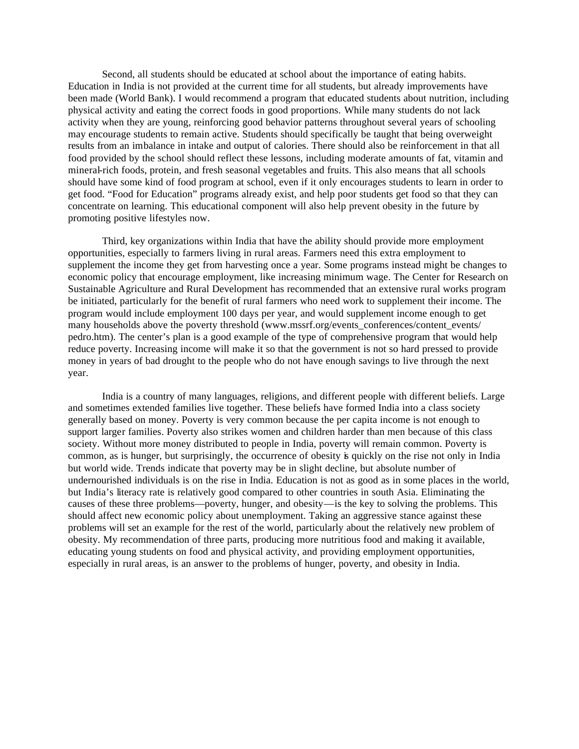Second, all students should be educated at school about the importance of eating habits. Education in India is not provided at the current time for all students, but already improvements have been made (World Bank). I would recommend a program that educated students about nutrition, including physical activity and eating the correct foods in good proportions. While many students do not lack activity when they are young, reinforcing good behavior patterns throughout several years of schooling may encourage students to remain active. Students should specifically be taught that being overweight results from an imbalance in intake and output of calories. There should also be reinforcement in that all food provided by the school should reflect these lessons, including moderate amounts of fat, vitamin and mineral-rich foods, protein, and fresh seasonal vegetables and fruits. This also means that all schools should have some kind of food program at school, even if it only encourages students to learn in order to get food. "Food for Education" programs already exist, and help poor students get food so that they can concentrate on learning. This educational component will also help prevent obesity in the future by promoting positive lifestyles now.

Third, key organizations within India that have the ability should provide more employment opportunities, especially to farmers living in rural areas. Farmers need this extra employment to supplement the income they get from harvesting once a year. Some programs instead might be changes to economic policy that encourage employment, like increasing minimum wage. The Center for Research on Sustainable Agriculture and Rural Development has recommended that an extensive rural works program be initiated, particularly for the benefit of rural farmers who need work to supplement their income. The program would include employment 100 days per year, and would supplement income enough to get many households above the poverty threshold (www.mssrf.org/events\_conferences/content\_events/ pedro.htm). The center's plan is a good example of the type of comprehensive program that would help reduce poverty. Increasing income will make it so that the government is not so hard pressed to provide money in years of bad drought to the people who do not have enough savings to live through the next year.

India is a country of many languages, religions, and different people with different beliefs. Large and sometimes extended families live together. These beliefs have formed India into a class society generally based on money. Poverty is very common because the per capita income is not enough to support larger families. Poverty also strikes women and children harder than men because of this class society. Without more money distributed to people in India, poverty will remain common. Poverty is common, as is hunger, but surprisingly, the occurrence of obesity is quickly on the rise not only in India but world wide. Trends indicate that poverty may be in slight decline, but absolute number of undernourished individuals is on the rise in India. Education is not as good as in some places in the world, but India's literacy rate is relatively good compared to other countries in south Asia. Eliminating the causes of these three problems—poverty, hunger, and obesity—is the key to solving the problems. This should affect new economic policy about unemployment. Taking an aggressive stance against these problems will set an example for the rest of the world, particularly about the relatively new problem of obesity. My recommendation of three parts, producing more nutritious food and making it available, educating young students on food and physical activity, and providing employment opportunities, especially in rural areas, is an answer to the problems of hunger, poverty, and obesity in India.